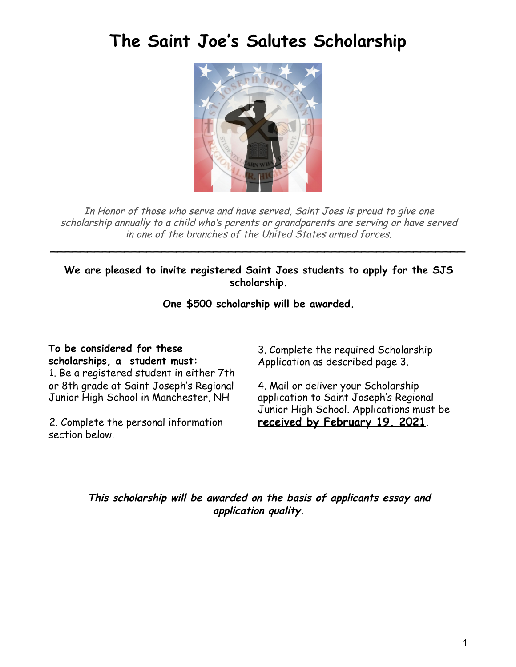## **The Saint Joe ' s Salutes Scholarship**



In Honor of those who serve and have served, Saint Joes is proud to give one scholarship annually to <sup>a</sup> child who's parents or grandparents are serving or have served in one of the branches of the United States armed forces.

**We are pleased to invite registered Saint Joes students to apply for the SJS scholarship.**

\_\_\_\_\_\_\_\_\_\_\_\_\_\_\_\_\_\_\_\_\_\_\_\_\_\_\_\_\_\_\_\_\_\_\_\_\_\_\_\_\_\_\_\_\_\_\_\_\_\_\_\_\_\_\_\_

**One \$500 scholarship will be awarded.**

**To be considered for these scholarships, a student must:** 1. Be a registered student in either 7th or 8th grade at Saint Joseph's Regional Junior High School in Manchester, NH

2. Complete the personal information section below.

3. Complete the required Scholarship Application as described page 3.

4. Mail or deliver your Scholarship application to Saint Joseph's Regional Junior High School. Applications must be **received by February 19, 2021**.

**This scholarship will be awarded on the basis of applicants essay and application quality.**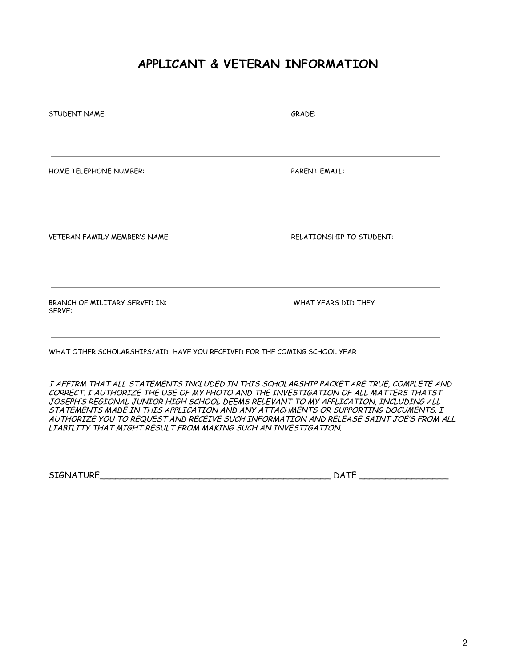## **APPLICANT & VETERAN INFORMATION**

| <b>STUDENT NAME:</b>                                                     | GRADE:<br><b>PARENT EMAIL:</b> |  |  |
|--------------------------------------------------------------------------|--------------------------------|--|--|
| HOME TELEPHONE NUMBER:                                                   |                                |  |  |
| <b>VETERAN FAMILY MEMBER'S NAME:</b>                                     | RELATIONSHIP TO STUDENT:       |  |  |
| BRANCH OF MILITARY SERVED IN:<br>SERVE:                                  | WHAT YEARS DID THEY            |  |  |
| WHAT OTHER SCHOLARSHIPS/AID HAVE YOU RECEIVED FOR THE COMING SCHOOL YEAR |                                |  |  |

I AFFIRM THAT ALL STATEMENTS INCLUDED IN THIS SCHOLARSHIP PACKET ARE TRUE, COMPLETE AND CORRECT. I AUTHORIZE THE USE OF MY PHOTO AND THE INVESTIGATION OF ALL MATTERS THATST JOSEPH'S REGIONAL JUNIOR HIGH SCHOOL DEEMS RELEVANT TO MY APPLICATION, INCLUDING ALL STATEMENTS MADE IN THIS APPLICATION AND ANY ATTACHMENTS OR SUPPORTING DOCUMENTS. I AUTHORIZE YOU TO REQUEST AND RECEIVE SUCH INFORMATION AND RELEASE SAINT JOE'S FROM ALL LIABILITY THAT MIGHT RESULT FROM MAKING SUCH AN INVESTIGATION.

| <b>ATURE</b><br><b>SIGNA</b> | ، د |  |
|------------------------------|-----|--|
|------------------------------|-----|--|